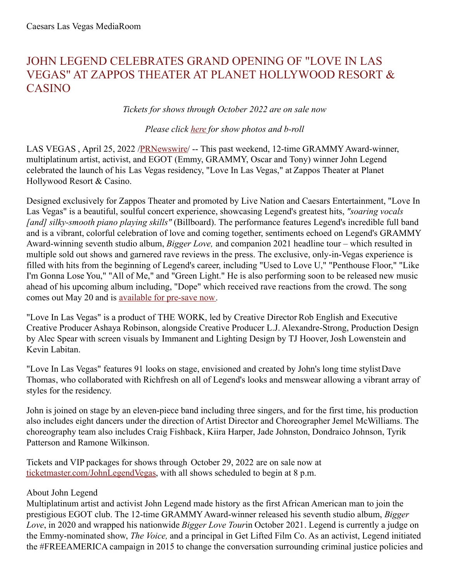# JOHN LEGEND CELEBRATES GRAND OPENING OF "LOVE IN LAS VEGAS" AT ZAPPOS THEATER AT PLANET HOLLYWOOD RESORT & CASINO

#### *Tickets for shows through October 2022 are on sale now*

#### *Please click [here](https://c212.net/c/link/?t=0&l=en&o=3514280-1&h=2813327246&u=https%3A%2F%2Fwww.dropbox.com%2Fsh%2Fdb6usx1wdujvtyw%2FAABg4-6KK3mzspDXBdA2TuAaa%3Fdl%3D0&a=here) for show photos and b-roll*

LAS VEGAS, April 25, 2022 [/PRNewswire](http://www.prnewswire.com/)/ -- This past weekend, 12-time GRAMMY Award-winner, multiplatinum artist, activist, and EGOT (Emmy, GRAMMY, Oscar and Tony) winner John Legend celebrated the launch of his Las Vegas residency, "Love In Las Vegas," at Zappos Theater at Planet Hollywood Resort & Casino.

Designed exclusively for Zappos Theater and promoted by Live Nation and Caesars Entertainment, "Love In Las Vegas" is a beautiful, soulful concert experience, showcasing Legend's greatest hits, *"soaring vocals [and] silky-smooth piano playing skills"* (Billboard). The performance features Legend's incredible full band and is a vibrant, colorful celebration of love and coming together, sentiments echoed on Legend's GRAMMY Award-winning seventh studio album, *Bigger Love,* and companion 2021 headline tour – which resulted in multiple sold out shows and garnered rave reviews in the press. The exclusive, only-in-Vegas experience is filled with hits from the beginning of Legend's career, including "Used to Love U," "Penthouse Floor," "Like I'm Gonna Lose You," "All of Me," and "Green Light." He is also performing soon to be released new music ahead of his upcoming album including, "Dope" which received rave reactions from the crowd. The song comes out May 20 and is [available](https://c212.net/c/link/?t=0&l=en&o=3514280-1&h=837655432&u=https%3A%2F%2Fpresave.umusic.com%2Fjlpresave&a=available+for+pre-save+now) for pre-save now.

"Love In Las Vegas" is a product of THE WORK, led by Creative Director Rob English and Executive Creative Producer Ashaya Robinson, alongside Creative Producer L.J. Alexandre-Strong, Production Design by Alec Spear with screen visuals by Immanent and Lighting Design by TJ Hoover, Josh Lowenstein and Kevin Labitan.

"Love In Las Vegas" features 91 looks on stage, envisioned and created by John's long time stylistDave Thomas, who collaborated with Richfresh on all of Legend's looks and menswear allowing a vibrant array of styles for the residency.

John is joined on stage by an eleven-piece band including three singers, and for the first time, his production also includes eight dancers under the direction of Artist Director and Choreographer Jemel McWilliams. The choreography team also includes Craig Fishback, Kiira Harper, Jade Johnston, Dondraico Johnson, Tyrik Patterson and Ramone Wilkinson.

Tickets and VIP packages for shows through October 29, 2022 are on sale now at [ticketmaster.com/JohnLegendVegas,](https://c212.net/c/link/?t=0&l=en&o=3514280-1&h=2632349463&u=http%3A%2F%2Fwww.ticketmaster.com%2FJohnLegendVegas&a=+ticketmaster.com%2FJohnLegendVegas) with all shows scheduled to begin at 8 p.m.

#### About John Legend

Multiplatinum artist and activist John Legend made history as the first African American man to join the prestigious EGOT club. The 12-time GRAMMYAward-winner released his seventh studio album, *Bigger Love*, in 2020 and wrapped his nationwide *Bigger Love Tour*in October 2021. Legend is currently a judge on the Emmy-nominated show, *The Voice,* and a principal in Get Lifted Film Co. As an activist, Legend initiated the #FREEAMERICA campaign in 2015 to change the conversation surrounding criminal justice policies and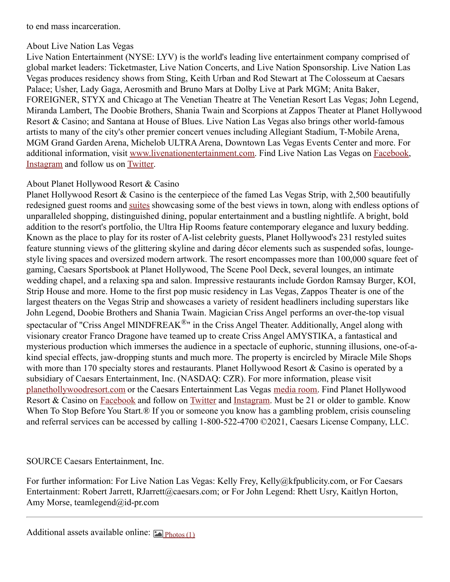to end mass incarceration.

### About Live Nation Las Vegas

Live Nation Entertainment (NYSE: LYV) is the world's leading live entertainment company comprised of global market leaders: Ticketmaster, Live Nation Concerts, and Live Nation Sponsorship. Live Nation Las Vegas produces residency shows from Sting, Keith Urban and Rod Stewart at The Colosseum at Caesars Palace; Usher, Lady Gaga, Aerosmith and Bruno Mars at Dolby Live at Park MGM; Anita Baker, FOREIGNER, STYX and Chicago at The Venetian Theatre at The Venetian Resort Las Vegas; John Legend, Miranda Lambert, The Doobie Brothers, Shania Twain and Scorpions at Zappos Theater at Planet Hollywood Resort & Casino; and Santana at House of Blues. Live Nation Las Vegas also brings other world-famous artists to many of the city's other premier concert venues including Allegiant Stadium, T-Mobile Arena, MGM Grand Garden Arena, Michelob ULTRAArena, Downtown Las Vegas Events Center and more. For additional information, visit [www.livenationentertainment.com](https://c212.net/c/link/?t=0&l=en&o=3514280-1&h=1113106613&u=https%3A%2F%2Furldefense.com%2Fv3%2F__http%3A%2Flink.mediaoutreach.meltwater.com%2Fls%2Fclick%3Fupn%3DPbjIqWsNhFH50douPoqcSuPTD7YmW9KA7gfQz9nkKKvZYcXjACn3dsFwbhtC2ByGUCyKvZPDQsK-2FJ22oARlurThd0BZQmTWgup8UlY2KxA-2BXbEq-2FdJaTCM4U2rVZCnThkJTCXuLiBboIL18A3-2FraCFy7mvw9eS-2F7e59I2lUtnzYhZRV02-2BP9DiKySmBsq0o7CWufoPNsul0Xn0nmnL40sPo9k7h-2Bqkj4rSoiWkxO2UwDi6BcSPi1aLaB9aiw5jtZnz09Rb8JbLjV8HVnUBo99MHD7BkpN-2B-2F-2FzhJsINV-2BswyxU9hpxziWB9NcIobDH7xCcTEcq1Dw-2BYxrCbJtcn3qQi2JTWZDY3TvkIhDYhdk3To11PFhX63SaU-2FbVrrs9dgf-2FMFSuGJ9WEPD0Tr2gwoHdOZ4dUHY48PXsS-2FwGA52-2BdPruJz6l6mK0gi5nIZL6LbTq-2Bk2UChciNXKNxs4L7aUhRNDMExunyAXeJ46rUpIw4wymUDHt-2FU6xDa2bzoJxvuwSYO1eCwkmJM48iFdZYG71wIAAid2-2FSNgc26TEUOIjABukXiStqAXUv3b6C6Kn9odO-2BNYPUFi-2FFbjFXLwuHsJujqs6AQ-2BK9GjO5FAMWGBB4tLOGIUsp6J79pT2hyR9XoC6Ypt74cMCW-2BAN3S1mgARIHKL9gEHFipv4JbbRE0QEztQUwWze-2FmvoSRw17bTiiXVe2b2lQxBcN2-2FxybFpWvkAXXHR4E3qEi2qyOdzEQRvDc5fJNHpkQhsY5NWck231eavBf4IBhaJl-2Bc8jniSVZIhTaiaDJ8Uz6LuCcLXgd5ZSNUj-2Bb5sycfx4ebCW-2FziB5UXjmcgdg-2FjOwMD5Om-2FfnTZF6cbLqBArFgayPEwDuRpuTV7svQJGJVh2Tf80xniXoXR1L0ytXW7EPHeYrKmKQX9GtrvOL-2FtV8SbhgniJPsU7SbRdSqgf6MMtRYVrMVuLKTq5vtR9hD-2FANdy3K-2BnbpZBt3kFv4B12lzRuYhQS7sekyU40Rej6xWT7PeZrqCpKYs4opwLZpU2HBqzEMrPWZc9-2F0mXSQ2HxIWjbladkqksaZ4-2BJi72HQSlLkdpXQz8TXc4Y0th8liPGB1U0MSSxHJlQ8ejjk9Jn5aFka-2BWAZy6l-2BEkJAw8Vty4-2BD-2BAPQRXLBLr-2B1C9sqqU6n6nH81NsJNMmO0s6anv6BztzfTrBKvnr4rxKhPpRPraDgKSntDB6oPyhkF0qqzLls9hLit0DrX8y9Wblds9HmbySs8MLDWh9iPxHWuALG4lTGRGRcQxpGs-2BWAPpMxljEVwgx87IxjM-2B9A1Qe9z4pEaVztkcLbrnmIdyENeqO2Po5UTu0Zpidwp93BmgtgXNXgMyupuOet-2BxU7AEgbz5tXq-2BoA4UA9odm8RLtwN7zZGpvkGqFn4e546piZT9X5mr3H-2BM-2FulXkKHz7RiWYMppRgJrztnIps89QnWkhxTV9TI2nduTJG6YLuoj5lLej3aLnXtJCSb9tKqscWEyb6HbPVDQsk0iVC-2FaMpeLE-2FjmmP4ak93L8OUDvgM1vFPcPg-2FvHN6Fk424WRuK55KpAdEuWVldWCruYLkqC2tXfcBK2lIGX0PjMGuZoqZaP-2FHkXt-2BWqBg3x-2FIM9AHzJ5E-2FxvL6jbKXYTvu5QKrf1jc3DA5sh5dYF9DsKPi2pkDzgt-2F0ynCVDyr-2B9GxQN1lzJP8U2Dgg6Syfr-2FtEGXdRxC0WnaEOEoddsGyYIQuOhIrCgg3ZvzpdpyQf2ECfJyaYbpUcIzlHN7ISL9Yl4-2FzRpNxa7LkGrnuyeHOdMUxAV53ZHcdDJwMrQ1eqx4YjT8PYYTeAu5zmlut8-2F-2BFQE62sh0iFTOP7Aa-2FZUa&a=www.livenationentertainment.com). Find Live Nation Las Vegas on [Facebook](https://c212.net/c/link/?t=0&l=en&o=3514280-1&h=2900767149&u=https%3A%2F%2Furldefense.com%2Fv3%2F__http%3A%2Flink.mediaoutreach.meltwater.com%2Fls%2Fclick%3Fupn%3DPbjIqWsNhFH50douPoqcSuPTD7YmW9KA7gfQz9nkKKvZYcXjACn3dsFwbhtC2ByGUCyKvZPDQsK-2FJ22oARlurThd0BZQmTWgup8UlY2KxA-2BXbEq-2FdJaTCM4U2rVZCnThkJTCXuLiBboIL18A3-2FraCFy7mvw9eS-2F7e59I2lUtnzYhZRV02-2BP9DiKySmBsq0o7CWufoPNsul0Xn0nmnL40sPo9k7h-2Bqkj4rSoiWkxO2UwDi6BcSPi1aLaB9aiw5jtZnz09Rb8JbLjV8HVnUBo99MHD7BkpN-2B-2F-2FzhJsINV-2BswyxU9hpxziWB9NcIobDH7xCcTEcq1Dw-2BYxrCbJtcn3qQm1jRvTIwDkMuSP6lHE4FC26LsGc08xcON5KXCXr5EPCjYlgyesrRXZga39zyGFXjHAOFAqW5gqRXq3An6izZM1irbwXKeC0tG-2FwyEhDmQ6bL0jnyNsyQep-2B3esrGWc7isAM3PKwWZkUvj-2FiBZK-2Bg3S8-2FtLEwxoiopqVq4tmGPlKhfreW-2FFGo0-2BOMXnmTtiuZCZ6yZk7z8aFuhw-2BBvqbpfEJMZTSVKhXFv-2BAU-2FYUze7Y0A0mh7fFqC-2Fw68OxovoKKTSrXUCY-2FCVbQl-2FBV7-2BA4ZufDt34HGWL7rDLKtJE1ejFmtJcBacItPBO9mofNEY8-2BuMLMBgUq4eKdBebvYKcMdufOGBld4hW-2F-2BJqyEx9iSBXH9ejyRgz6pcYvJ0uuY3OpgvZ32CK1v2y7rYTvjpvbcXBsmoUn6T60rg-2FLn9NZ-2Bw5Vh5gbgG4bUOKGGzJ4i4wPP6eDlgvm-2BMv45ZWyJy2DZI-2B8iin21ltIRydCVNhSGA91pN0idokGnez6nOws-2FZLC0pGN75jttExjg1A-2BTRulT450KFBQGZVV8ypxK6jI8T4SePj-2F9NJFjWKuA-2BE6B1aILsNd0sJ7pHUALyY6BR-2Fi1O7-2FL9zbRi7gIGuYLl3pT9feZ4-2FiP0N-2Fj09njq4oIPAZxAZGSCom2-2FJfWKNpcO9PzaSL0xflrj6lFScbbPsNvyqWN9tuaFHZXI0K2lxkcwTQpgWcXss7wO7fTw3mNZvZQ49zjPY2E7PK15KMus1ZJseAtCp8t3TchTA-2BkE5LpXgk4KcWoc6psS3AGmSoAU65JsdTxrli1eHrQt-2B5qHes2N2rCHuE5vZkbK3ewgsViwFhhjsz-2BLoCQGLRMTGllO2ZLkoxCDOwFx6EoVsPpr-2BTmJEAdRkwSEyG9oUpcrYy1j0I-2Fr2nc6pBi307rRXPDnZ0ZJDX3U3AD887m-2BEVRlhXRQqS73BHACkC5ZA4K0mdSeJeMyXSDYmqPFkxyxaDTsm1lOCMqUXfqEJqZbmw4BYCBnqwkanCZOr0lp7afu0nRS85grMVZJe0R7GMTCahvvngpw9mozmyPZbkscfv7bnmU90t-2BuUmMDw-2BUxIuW5SFfuldnTPPVNxizWuA76x88U-2BcUqeRqmFnDEufC-2BKzKyNdmn-2FxkENr7lBVTIbp7JcXmrwwPyJCYezlgyv9npmgpffZTp3TDDvQ-2BPR-2BAxoy9Ixv8ep0V5qwcT6Y7oSfyUGi9-2F-2FKqkL8EzQIJ2nngIp9G2BsgIly-2Bdx-2BVqdYsBCKMvMkTC0zFEF0pEIa4PnoLDPAZGgeoWqBsLI-2FF1zuq8KtOXXxCvpgxCThZx17lHK8zOlbKTBAf6Au-2FCKf0TjJH154SuJheT0tHCQeYTudnGAH8oNokVwhyqtxmarFLkERWpDppVTNsYhNzFxJ2J3pJ1ip1eLVjUl8CReQEHRCJxolcr0hGDZ3GvstQjDZt8oSZx9Q3gpHql-2FxVL6jhIqlXMoWiufCC1qE5rrJfkoMK-2FgTyRlMs5MCrpkic&a=Facebook), [Instagram](https://c212.net/c/link/?t=0&l=en&o=3514280-1&h=3790720610&u=https%3A%2F%2Furldefense.com%2Fv3%2F__http%3A%2Flink.mediaoutreach.meltwater.com%2Fls%2Fclick%3Fupn%3DPbjIqWsNhFH50douPoqcSuPTD7YmW9KA7gfQz9nkKKvZYcXjACn3dsFwbhtC2ByGUCyKvZPDQsK-2FJ22oARlurThd0BZQmTWgup8UlY2KxA-2BXbEq-2FdJaTCM4U2rVZCnThkJTCXuLiBboIL18A3-2FraCFy7mvw9eS-2F7e59I2lUtnzYhZRV02-2BP9DiKySmBsq0o7CWufoPNsul0Xn0nmnL40sPo9k7h-2Bqkj4rSoiWkxO2UwDi6BcSPi1aLaB9aiw5jtZnz09Rb8JbLjV8HVnUBo99MHD7BkpN-2B-2F-2FzhJsINV-2BswyxU9hpxziWB9NcIobDH7xCcTEcq1Dw-2BYxrCbJtcn3qQjIWm44p9GIRYFw0bBkh-2FbVs5-2BrXFvK23BgRXI1uQwVJuapVjpnjRr8VTcjD1xh42hAcrVEg-2BikNVuXk5ZKTOCbsxqlfTTzAvA4UkvUsykzqqDx92dWx98p8pA3CrnuPZ3yBXlCtgLjfL-2BRs-2BcjnEq3L06jbsm6slo0ZRgzMoeZFpnNIb4XA4Wnvtai7fG7q9ka1R8cYNFF62Rwm2ZrZwRUawi411WljcQCBC65zvcGwBImuVydySXlSa2mDbb1jm-2BAMs6NZa65ugobrLIulIzlgg6WNZqmAqjuiIBeLKOFdpOyhBqyDnmY2oXh6cbT-2B6N9HVEMYspyMoTvGiA5osLPA5Fnd-2BxlnwK5WQL9utN68ThCBtdOObXXmjX4fXBVLP9yfJrdCJ-2FXHvWFDCUi-2Fj18kCiUKUeFD5UmJ7UPvJd1xhjrOqCtmE-2BN4Q9MjH0N0gPVoR9olFCh69mUB1uTrRNutKKA4wnYv3vr6SkHum0Z5jq93zhUOM6aAgtlugLteuT-2B7s9KPEcAIl-2FSGNBlIMtYJ6zTM3deTyvBdX0w-2FCZdwcCk96NJ1kme07WzJ7vlfn9cgoFUXer-2FQY0QCSAjxElDu5DwU2WYgfbAmL1S-2B5a5yhwkWdtABJqom74cLUiewUyRsZSEtX6F4BgtOb8JkLE1ywzhkOMxdsXaI3DZLjo-2Fc-2BZBCZ0J0sNpKA7fFytyAtZvmGkv4lRTM5Ec6J2e9Cds8j-2FfGL980QkRwUClj9VDskSj3VRHQRsi-2BbnrjtSsVc8TmunU-2BH7-2BFw4xOz9BuI0JB-2Fj4n2ebQcu6cbnxr80x1aDgSxwkpyVWUHXxs8lCoZUbGyfL2XLR-2BJn1tyC-2BfhLYSCut-2FQv8tMxNcwpztvjnb8sfEJeqkgbwV8RqDPNlEkxAP0wcZmyk3V9aA3F60ukNdRd2d97ptU2O9ivbR2hq-2FSGk2IZEZhllcNRHGHP-2FCTvyG7ZpYMLq8auo-2B1egHI1zvSWZlw5bXigzGvurI5WibV4OgiOa5RGCsPpcy9Kbab6qyUn4rI-2B-2BZPf5fyLxDFVeCP9PEkE7Kf1uXC15WkvTzUkttPN9WoSt-2BvSmTJa6BXWjt-2Fg62A0cPSY-2BZLrNOezihGxfnupK8KYp1BILRaB-2F0ToAcqtU091OvhF627WdCj0uZFtKxBOijUGLJDm0sznSL5sZLdkndP8PjOQO8tyFz3LVGmqpFOLLJ0eD3gREpGiiGE-2BlFX6kGx7yRDDpG767W4-2F2PkCrDPS7J6NM9dS8v2jjns1hteOHlgaarxSrrJiERYaZj1t-2B8DboWveXyw0w7UBsmkja6IebzzBLkS1gtqB7OLhAGXLeRWT7-2Bqkhkqfeyz3JKs2k6hKOy4jLD3S37p0kP1sH6-2FdKKYjIlEXZ39XI5-2FLzMM47K5GUIUsOx0nd5G3fWZWfTIad7CD67ix218J3vXpidmAK08340ioEKkBtszVBVwicZ1xhRamsRssb-2Frb8OOncOK55SoC9s2BVum8Z5rFOicJl96pJp01zs1Eiu&a=Instagram) and follow us on [Twitter](https://c212.net/c/link/?t=0&l=en&o=3514280-1&h=2522111036&u=https%3A%2F%2Furldefense.com%2Fv3%2F__http%3A%2Flink.mediaoutreach.meltwater.com%2Fls%2Fclick%3Fupn%3DPbjIqWsNhFH50douPoqcSuPTD7YmW9KA7gfQz9nkKKvZYcXjACn3dsFwbhtC2ByGUCyKvZPDQsK-2FJ22oARlurThd0BZQmTWgup8UlY2KxA-2BXbEq-2FdJaTCM4U2rVZCnThkJTCXuLiBboIL18A3-2FraCFy7mvw9eS-2F7e59I2lUtnzYhZRV02-2BP9DiKySmBsq0o7CWufoPNsul0Xn0nmnL40sPo9k7h-2Bqkj4rSoiWkxO2UwDi6BcSPi1aLaB9aiw5jtZnz09Rb8JbLjV8HVnUBo99MHD7BkpN-2B-2F-2FzhJsINV-2BswyxU9hpxziWB9NcIobDH7xCcTEcq1Dw-2BYxrCbJtcn3qQnJOhWwBeYBuGKDtSHrgMa9LPjZ9xS173Iz7g5ZCmziITVZN3m56uNbf1N16Liqgtyx1KbmMyK9JMV197-2B9CJ3HvSrSnDz8ajsNHD7pjrVzNf5flfuTi7xnIjcXOeLMiOB0Tt-2F-2BTXtwGFSmBCAV-2FoWw45r3U9fsIPsih1UPmzWJbnTE7Vk3wcRvwcDYAKBGhjBrmwt0nKisJ59ZFLTNc3AW2a-2FzzvI4Mm-2FnrBx-2FXWcwTE5xYHKZKbGfz1AY3Dko4cyApJ0AoAtuYSAnEXBsztB9hq3un6AC7Fkx-2BczoPfEBjHL9H-2BKOjv2ZRQi-2BXpdp1aWWxe55DlsusxMmZIV8amNVwOrSQvOSR9gRiGJOAgRGdHSyOMQ5GPrBWSBHDVLAkhuWWYDkVPG-2BlFXzOuX8-2F8L-2Few9w7Tg-2BarwHuKDluN-2F6QB3mL75zUSe43aRIv29gibl4sbLXN9-2BYQ2kTvw6OrK-2BCwueQt8KI2bDy7BCbq76qJfgZD7brxWCPQCT3H5wRIG4Lje-2F6Y4vQiyGPjIa8Qar-2FDHlhvcZ1uSekcLk7PKnAS-2Fa2thIo4We7nY4ccCxtWpdi-2BRh0A4Fn1cremHya1j54A1NF2b-2FPDYFw9lmV9BCB6tTAPY-2Bzm827EMZwT1CgblBi1tABg9H22lFPNMwlUGAB9FNX9nLWUa5LLsn-2BB9sixHL3katWW1Ps-2F7BZ-2Bp2nLg9etn9RjlR4-2Fsa-2FEunk2R7JumUVsnnASzbTbb11t4tI0zl1voN1NCRUjLuPatIpo-2BMyatK0eZ7aK1dn5Qa4mD2SDv03S2mNxjlo5LNdLbenKef6nohd8uWdKjU8xfO6gMBRXs5anXYwtVji2K6y3lawXdhXBr2gOpmffVKrEj3lCyBcgPJfESj3lqwDL7O5N2qFkk3xsgoZEgIAQIECMcDWgeUakWT7LBbCXGv79DiYeAJeCj9Z1lXTjfxYTuRh-2FfZhsHd4XOwwID4LyBP-2BPPyJIWeMmbZdFdVXaa-2BYZnsjdX7gTAmrKxiC2o12QU-2BqYccX-2BP-2F8XewafuQj9k8B6teYeuyYD0nbcCjuqtJIqi1mWb-2FDgw4iuIv4LAmQGGxdfybOFxMJC5Cjwn4ESiKghO6G3y-2Fqt-2Fzz-2FDPevxDXiZSmCZbXgAUUuUdj7YVob9OALdBVWOYqKxwEXLYg-2F263mYqTo4AeKp4lDgMMuoCO3LxgKJ7b3MeSa3Z0CKdNV4jaIo6ZjEltWQfGNwhUoPSDYzmVGLaysNO-2BzZTII6-2FHSEcCM7nJWSTgo5ahsGkg9lUSIWV0ACSC-2F6UVYg1rIsp32lYEulsRBqa2bF36uVl3oCx8sOK5UCHHwujiLPRux4ToQ37de8Y4jJMSOWtkJhmhaUEfKbyD1HIOCdqWbZ-2BlObaFHjnzp8S5aZxFdIryTBzk5itFsVzwVhZLgnQC81jvBCPodCZLi4O6pb1YJB6nKNat4W9xcrV-2FXyOfcKoRYHE7B6Lft-2FV4F0RSaDq7xoo2I478zso7TzTum9BuMumbm&a=Twitter).

## About Planet Hollywood Resort & Casino

Planet Hollywood Resort & Casino is the centerpiece of the famed Las Vegas Strip, with 2,500 beautifully redesigned guest rooms and [suites](https://c212.net/c/link/?t=0&l=en&o=3514280-1&h=3357098040&u=https%3A%2F%2Fwww.caesars.com%2Flas-vegas%2Fsuites%2F&a=suites) showcasing some of the best views in town, along with endless options of unparalleled shopping, distinguished dining, popular entertainment and a bustling nightlife. A bright, bold addition to the resort's portfolio, the Ultra Hip Rooms feature contemporary elegance and luxury bedding. Known as the place to play for its roster of A-list celebrity guests, Planet Hollywood's 231 restyled suites feature stunning views of the glittering skyline and daring décor elements such as suspended sofas, loungestyle living spaces and oversized modern artwork. The resort encompasses more than 100,000 square feet of gaming, Caesars Sportsbook at Planet Hollywood, The Scene Pool Deck, several lounges, an intimate wedding chapel, and a relaxing spa and salon. Impressive restaurants include Gordon Ramsay Burger, KOI, Strip House and more. Home to the first pop music residency in Las Vegas, Zappos Theater is one of the largest theaters on the Vegas Strip and showcases a variety of resident headliners including superstars like John Legend, Doobie Brothers and Shania Twain. Magician Criss Angel performs an over-the-top visual spectacular of "Criss Angel MINDFREAK $^{\circledR}$ " in the Criss Angel Theater. Additionally, Angel along with visionary creator Franco Dragone have teamed up to create Criss Angel AMYSTIKA, a fantastical and mysterious production which immerses the audience in a spectacle of euphoric, stunning illusions, one-of-akind special effects, jaw-dropping stunts and much more. The property is encircled by Miracle Mile Shops with more than 170 specialty stores and restaurants. Planet Hollywood Resort & Casino is operated by a subsidiary of Caesars Entertainment, Inc. (NASDAQ: CZR). For more information, please visit [planethollywoodresort.com](https://c212.net/c/link/?t=0&l=en&o=3514280-1&h=2714888228&u=http%3A%2F%2Fwww.planethollywoodresort.com%2F&a=planethollywoodresort.com) or the Caesars Entertainment Las Vegas [media](https://c212.net/c/link/?t=0&l=en&o=3514280-1&h=2850142736&u=http%3A%2F%2Fcaesars.mediaroom.com%2F&a=media+room) room. Find Planet Hollywood Resort & Casino on [Facebook](https://c212.net/c/link/?t=0&l=en&o=3514280-1&h=958758251&u=http%3A%2F%2Fwww.facebook.com%2FphVegas&a=Facebook) and follow on [Twitter](https://c212.net/c/link/?t=0&l=en&o=3514280-1&h=161607902&u=http%3A%2F%2Fwww.twitter.com%2Fphvegas&a=Twitter) and [Instagram](https://c212.net/c/link/?t=0&l=en&o=3514280-1&h=152372667&u=https%3A%2F%2Fwww.instagram.com%2Fphvegas%2F&a=Instagram). Must be 21 or older to gamble. Know When To Stop Before You Start.<sup>®</sup> If you or someone you know has a gambling problem, crisis counseling and referral services can be accessed by calling 1-800-522-4700 ©2021, Caesars License Company, LLC.

# SOURCE Caesars Entertainment, Inc.

For further information: For Live Nation Las Vegas: Kelly Frey, Kelly@kfpublicity.com, or For Caesars Entertainment: Robert Jarrett, RJarrett@caesars.com; or For John Legend: Rhett Usry, Kaitlyn Horton, Amy Morse, teamlegend@id-pr.com